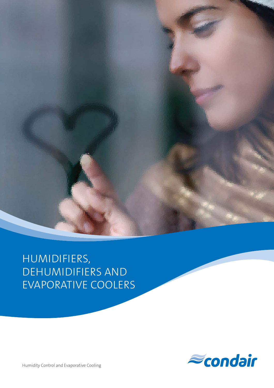

HUMIDIFIERS, DEHUMIDIFIERS AND EVAPORATIVE COOLERS



Humidity Control and Evaporative Cooling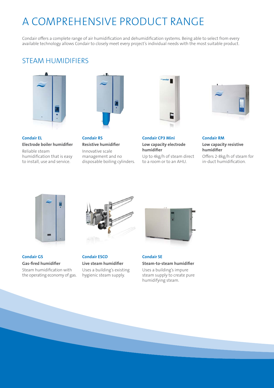# A COMPREHENSIVE PRODUCT RANGE

Condair offers a complete range of air humidification and dehumidification systems. Being able to select from every available technology allows Condair to closely meet every project's individual needs with the most suitable product.

#### STEAM HUMIDIFIERS



**Condair EL Electrode boiler humidifier**  Reliable steam

humidification that is easy to install, use and service.



**Condair RS Resistive humidifier**  Innovative scale management and no disposable boiling cylinders.



**Condair CP3 Mini Low capacity electrode humidifier**

Up to 4kg/h of steam direct to a room or to an AHU.



**Condair RM Low capacity resistive humidifier** 

Offers 2-8kg/h of steam for in-duct humidification.



**Condair GS Gas-fired humidifier** 

Steam humidification with the operating economy of gas.



**Condair ESCO Live steam humidifier**  Uses a building's existing

hygienic steam supply.



**Condair SE Steam-to-steam humidifier** 

Uses a building's impure steam supply to create pure humidifying steam.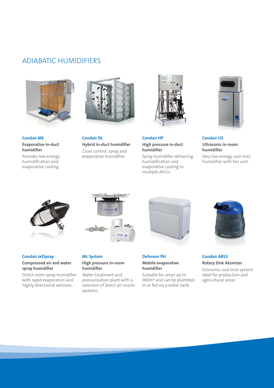### ADIABATIC HUMIDIFIERS



**Condair ME Evaporative in-duct humidifier** 

Provides low energy humidification and evaporative cooling.



**Condair DL Hybrid in-duct humidifier**  Close control, spray and evaporative humidifier.



**Condair HP High pressure in-duct humidifier**

Spray humidifier delivering humidification and evaporative cooling to multiple AHUs.



**Condair US Ultrasonic in-room humidifier**

Very low energy cool mist humidifier with fan unit.



**Condair JetSpray Compressed air and water** 

**spray humidifier** Direct room spray humidifier with rapid evaporation and highly directional aerosols.



**ML System** 

**humidifier**

systems.

Water treatment and pressurisation plant with a selection of direct air nozzle



**Mobile evaporative humidifier**

Suitable for areas up to 900<sub>m</sub><sup>3</sup> and can be plumbedin or fed via a water tank.



#### **Condair ABS3 Rotary Disk Atomizer**

Economic cool mist system ideal for production and agricultural areas.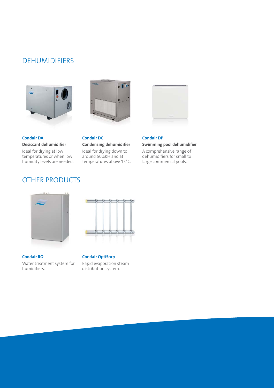### DEHUMIDIFIERS





**Condair DA Desiccant dehumidifier**  Ideal for drying at low

temperatures or when low humidity levels are needed.

### OTHER PRODUCTS



Ideal for drying down to around 50%RH and at temperatures above 15°C.



**Condair DP Swimming pool dehumidifier**

A comprehensive range of dehumidifiers for small to large commercial pools.



**Condair RO** 

Water treatment system for humidifiers.



**Condair OptiSorp**  Rapid evaporation steam distribution system.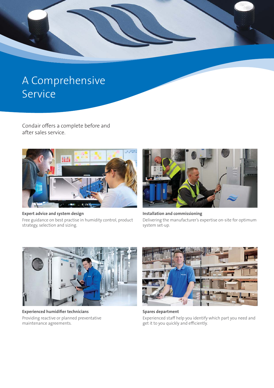

# A Comprehensive Service

Condair offers a complete before and after sales service.



**Expert advice and system design**  Free guidance on best practise in humidity control, product strategy, selection and sizing.



**Installation and commissioning**  Delivering the manufacturer's expertise on-site for optimum system set-up.



**Experienced humidifier technicians**  Providing reactive or planned preventative maintenance agreements.



**Spares department**  Experienced staff help you identify which part you need and get it to you quickly and efficiently.